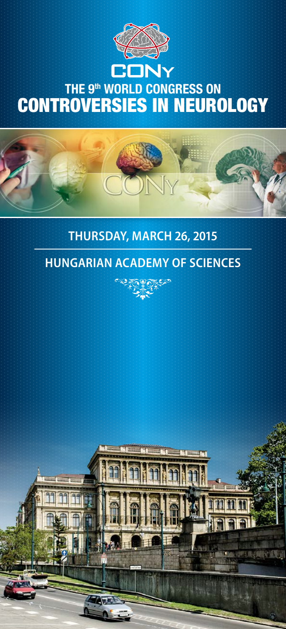

### **JNY** THE 9<sup>th</sup> WORLD CONGRESS ON CONTROVERSIES IN NEUROLOGY

#### **Thursday, March 26, 2015**

#### **Hungarian Academy of Sciences**



**BELLUTE BY A LITTLE**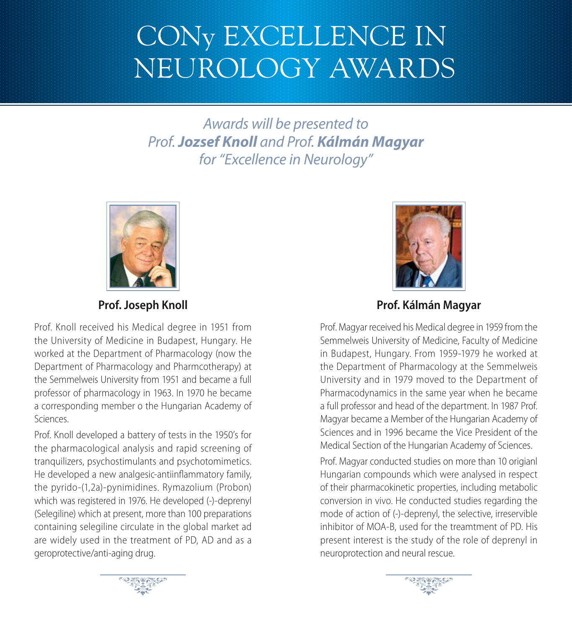# CONy Excellence in Neurology AwardS

*Awards will be presented to Prof. Jozsef Knoll and Prof. Kálmán Magyar for "Excellence in Neurology"* 



**Prof. Joseph Knoll**

Prof. Knoll received his Medical degree in 1951 from the University of Medicine in Budapest, Hungary. He worked at the Department of Pharmacology (now the Department of Pharmacology and Pharmcotherapy) at the Semmelweis University from 1951 and became a full professor of pharmacology in 1963. In 1970 he became a corresponding member o the Hungarian Academy of Sciences.

Prof. Knoll developed a battery of tests in the 1950's for the pharmacological analysis and rapid screening of tranquilizers, psychostimulants and psychotomimetics. He developed a new analgesic-antiinflammatory family, the pyrido-(1,2a)-pynimidines. Rymazolium (Probon) which was registered in 1976. He developed (-)-deprenyl (Selegiline) which at present, more than 100 preparations containing selegiline circulate in the global market ad are widely used in the treatment of PD, AD and as a geroprotective/anti-aging drug.



**Prof. Kálmán Magyar**

Prof. Magyar received his Medical degree in 1959 from the Semmelweis University of Medicine, Faculty of Medicine in Budapest, Hungary. From 1959-1979 he worked at the Department of Pharmacology at the Semmelweis University and in 1979 moved to the Department of Pharmacodynamics in the same year when he became a full professor and head of the department. In 1987 Prof. Magyar became a Member of the Hungarian Academy of Sciences and in 1996 became the Vice President of the Medical Section of the Hungarian Academy of Sciences.

Prof. Magyar conducted studies on more than 10 origianl Hungarian compounds which were analysed in respect of their pharmacokinetic properties, including metabolic conversion in vivo. He conducted studies regarding the mode of action of (-)-deprenyl, the selective, irreservible inhibitor of MOA-B, used for the treamtment of PD. His present interest is the study of the role of deprenyl in neuroprotection and neural rescue.